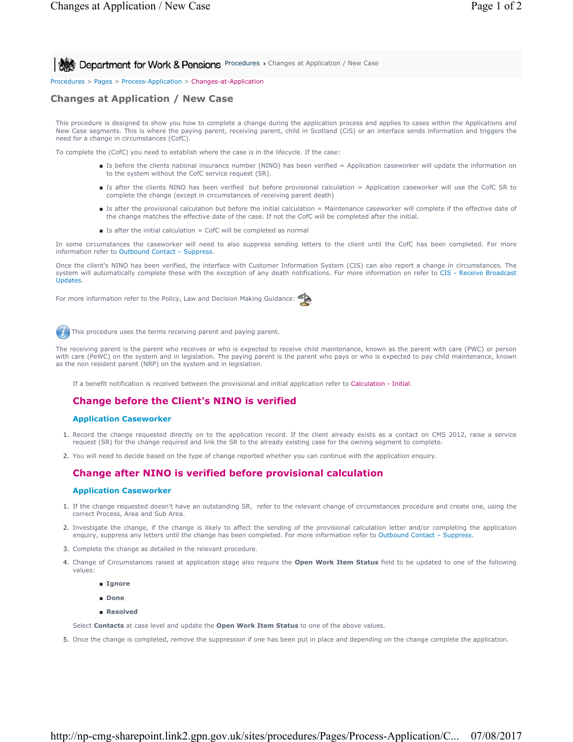**All Act Department for Work & Pensions** Procedures > Changes at Application / New Case

#### Procedures > Pages > Process-Application > Changes-at-Application

# **Changes at Application / New Case**

This procedure is designed to show you how to complete a change during the application process and applies to cases within the Applications and New Case segments. This is where the paying parent, receiving parent, child in Scotland (CiS) or an interface sends information and triggers the need for a change in circumstances (CofC).

To complete the (CofC) you need to establish where the case is in the lifecycle. If the case:

- Is before the clients national insurance number (NINO) has been verified = Application caseworker will update the information on to the system without the CofC service request (SR).
- Is after the clients NINO has been verified but before provisional calculation = Application caseworker will use the CofC SR to complete the change (except in circumstances of receiving parent death)
- Is after the provisional calculation but before the initial calculation = Maintenance caseworker will complete if the effective date of the change matches the effective date of the case. If not the CofC will be completed after the initial.
- $\blacksquare$  Is after the initial calculation = CofC will be completed as normal

In some circumstances the caseworker will need to also suppress sending letters to the client until the CofC has been completed. For more information refer to Outbound Contact – Suppress.

Once the client's NINO has been verified, the interface with Customer Information System (CIS) can also report a change in circumstances. The system will automatically complete these with the exception of any death notifications. For more information on refer to CIS - Receive Broadcast Updates.

For more information refer to the Policy, Law and Decision Making Guidance:



This procedure uses the terms receiving parent and paying parent.

The receiving parent is the parent who receives or who is expected to receive child maintenance, known as the parent with care (PWC) or person with care (PeWC) on the system and in legislation. The paying parent is the parent who pays or who is expected to pay child maintenance, known as the non resident parent (NRP) on the system and in legislation.

If a benefit notification is received between the provisional and initial application refer to Calculation - Initial.

## **Change before the Client's NINO is verified**

#### **Application Caseworker**

- 1. Record the change requested directly on to the application record. If the client already exists as a contact on CMS 2012, raise a service request (SR) for the change required and link the SR to the already existing case for the owning segment to complete.
- 2. You will need to decide based on the type of change reported whether you can continue with the application enquiry.

## **Change after NINO is verified before provisional calculation**

#### **Application Caseworker**

- 1. If the change requested doesn't have an outstanding SR, refer to the relevant change of circumstances procedure and create one, using the correct Process, Area and Sub Area.
- 2. Investigate the change, if the change is likely to affect the sending of the provisional calculation letter and/or completing the application enquiry, suppress any letters until the change has been completed. For more information refer to Outbound Contact – Suppress.
- 3. Complete the change as detailed in the relevant procedure.
- Change of Circumstances raised at application stage also require the **Open Work Item Status** field to be updated to one of the following 4. values:
	- **Ignore**
	- **Done**
	- **Resolved**

Select **Contacts** at case level and update the **Open Work Item Status** to one of the above values.

5. Once the change is completed, remove the suppression if one has been put in place and depending on the change complete the application.